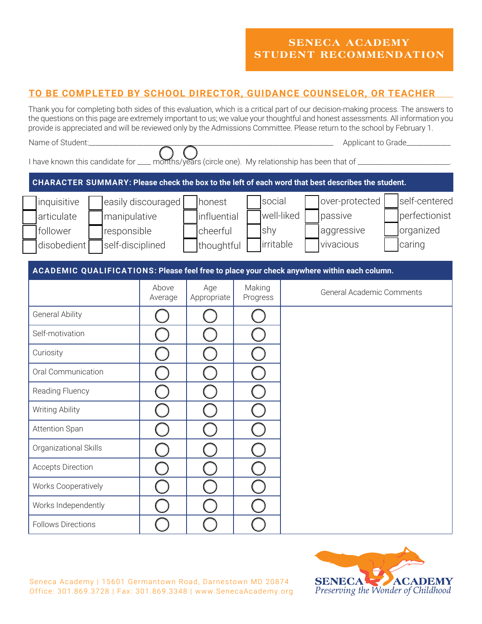## **TO BE COMPLETED BY SCHOOL DIRECTOR, GUIDANCE COUNSELOR, OR TEACHER**

Thank you for completing both sides of this evaluation, which is a critical part of our decision-making process. The answers to the questions on this page are extremely important to us; we value your thoughtful and honest assessments. All information you provide is appreciated and will be reviewed only by the Admissions Committee. Please return to the school by February 1.

| Name of Student:                                                                                               |                    |                                                 |                            | Applicant to Grade |                                                      |                                                       |  |
|----------------------------------------------------------------------------------------------------------------|--------------------|-------------------------------------------------|----------------------------|--------------------|------------------------------------------------------|-------------------------------------------------------|--|
| I have known this candidate for ___ months/years (circle one). My relationship has been that of ______________ |                    |                                                 |                            |                    |                                                      |                                                       |  |
| CHARACTER SUMMARY: Please check the box to the left of each word that best describes the student.              |                    |                                                 |                            |                    |                                                      |                                                       |  |
| inquisitive<br>articulate<br>manipulative<br>follower<br>responsible<br>disobedient<br>self-disciplined        | easily discouraged | honest<br>influential<br>cheerful<br>thoughtful | social<br>shy<br>irritable | well-liked         | over-protected<br>passive<br>aggressive<br>vivacious | self-centered<br>perfectionist<br>organized<br>caring |  |
| ACADEMIC QUALIFICATIONS: Please feel free to place your check anywhere within each column.                     |                    |                                                 |                            |                    |                                                      |                                                       |  |
|                                                                                                                | Above<br>Average   | Age<br>Appropriate                              | Making<br>Progress         |                    | General Academic Comments                            |                                                       |  |
| <b>General Ability</b>                                                                                         |                    |                                                 |                            |                    |                                                      |                                                       |  |
| Self-motivation                                                                                                |                    |                                                 |                            |                    |                                                      |                                                       |  |
| Curiosity                                                                                                      |                    |                                                 |                            |                    |                                                      |                                                       |  |
| Oral Communication                                                                                             |                    |                                                 |                            |                    |                                                      |                                                       |  |
| Reading Fluency                                                                                                |                    |                                                 |                            |                    |                                                      |                                                       |  |
| Writing Ability                                                                                                |                    |                                                 |                            |                    |                                                      |                                                       |  |
| <b>Attention Span</b>                                                                                          |                    |                                                 |                            |                    |                                                      |                                                       |  |
| Organizational Skills                                                                                          |                    |                                                 |                            |                    |                                                      |                                                       |  |
| <b>Accepts Direction</b>                                                                                       |                    |                                                 |                            |                    |                                                      |                                                       |  |
| Works Cooperatively                                                                                            |                    |                                                 |                            |                    |                                                      |                                                       |  |
| Works Independently                                                                                            |                    |                                                 |                            |                    |                                                      |                                                       |  |
| <b>Follows Directions</b>                                                                                      |                    |                                                 |                            |                    |                                                      |                                                       |  |